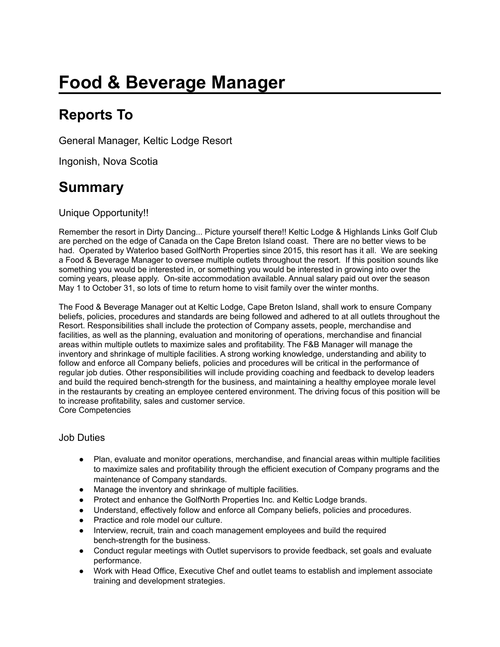# **Food & Beverage Manager**

## **Reports To**

General Manager, Keltic Lodge Resort

Ingonish, Nova Scotia

### **Summary**

Unique Opportunity!!

Remember the resort in Dirty Dancing... Picture yourself there!! Keltic Lodge & Highlands Links Golf Club are perched on the edge of Canada on the Cape Breton Island coast. There are no better views to be had. Operated by Waterloo based GolfNorth Properties since 2015, this resort has it all. We are seeking a Food & Beverage Manager to oversee multiple outlets throughout the resort. If this position sounds like something you would be interested in, or something you would be interested in growing into over the coming years, please apply. On-site accommodation available. Annual salary paid out over the season May 1 to October 31, so lots of time to return home to visit family over the winter months.

The Food & Beverage Manager out at Keltic Lodge, Cape Breton Island, shall work to ensure Company beliefs, policies, procedures and standards are being followed and adhered to at all outlets throughout the Resort. Responsibilities shall include the protection of Company assets, people, merchandise and facilities, as well as the planning, evaluation and monitoring of operations, merchandise and financial areas within multiple outlets to maximize sales and profitability. The F&B Manager will manage the inventory and shrinkage of multiple facilities. A strong working knowledge, understanding and ability to follow and enforce all Company beliefs, policies and procedures will be critical in the performance of regular job duties. Other responsibilities will include providing coaching and feedback to develop leaders and build the required bench-strength for the business, and maintaining a healthy employee morale level in the restaurants by creating an employee centered environment. The driving focus of this position will be to increase profitability, sales and customer service. Core Competencies

#### Job Duties

- Plan, evaluate and monitor operations, merchandise, and financial areas within multiple facilities to maximize sales and profitability through the efficient execution of Company programs and the maintenance of Company standards.
- Manage the inventory and shrinkage of multiple facilities.
- Protect and enhance the GolfNorth Properties Inc. and Keltic Lodge brands.
- Understand, effectively follow and enforce all Company beliefs, policies and procedures.
- Practice and role model our culture.
- Interview, recruit, train and coach management employees and build the required bench-strength for the business.
- Conduct regular meetings with Outlet supervisors to provide feedback, set goals and evaluate performance.
- Work with Head Office, Executive Chef and outlet teams to establish and implement associate training and development strategies.